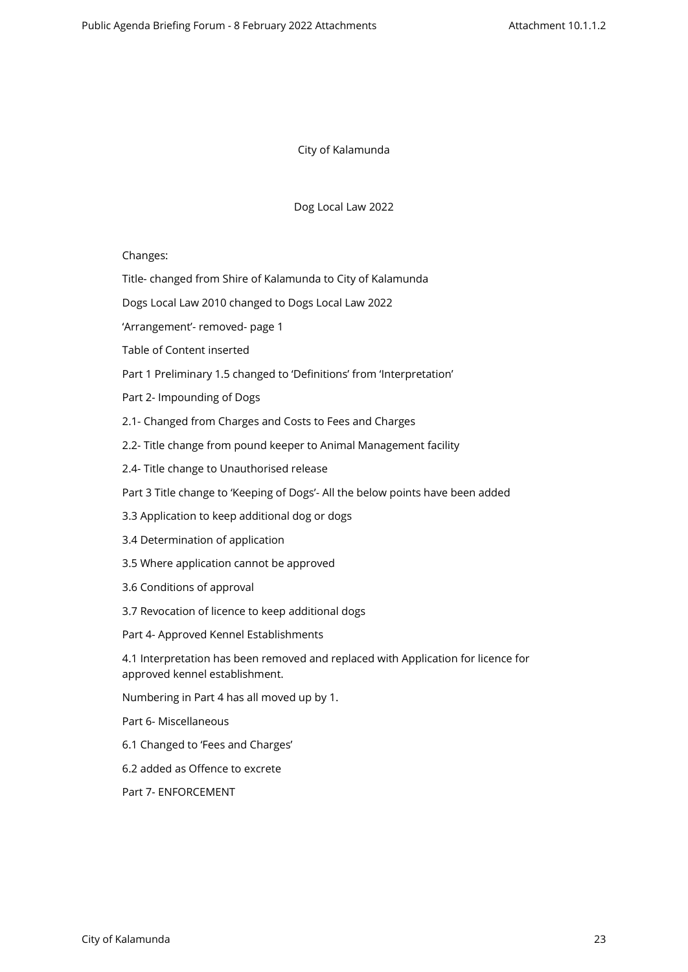City of Kalamunda

Dog Local Law 2022

Changes:

Title- changed from Shire of Kalamunda to City of Kalamunda

Dogs Local Law 2010 changed to Dogs Local Law 2022

'Arrangement'- removed- page 1

Table of Content inserted

Part 1 Preliminary 1.5 changed to 'Definitions' from 'Interpretation'

Part 2- Impounding of Dogs

2.1- Changed from Charges and Costs to Fees and Charges

2.2- Title change from pound keeper to Animal Management facility

2.4- Title change to Unauthorised release

Part 3 Title change to 'Keeping of Dogs'- All the below points have been added

- 3.3 Application to keep additional dog or dogs
- 3.4 Determination of application
- 3.5 Where application cannot be approved
- 3.6 Conditions of approval
- 3.7 Revocation of licence to keep additional dogs
- Part 4- Approved Kennel Establishments

4.1 Interpretation has been removed and replaced with Application for licence for approved kennel establishment.

Numbering in Part 4 has all moved up by 1.

Part 6- Miscellaneous

- 6.1 Changed to 'Fees and Charges'
- 6.2 added as Offence to excrete

Part 7- ENFORCEMENT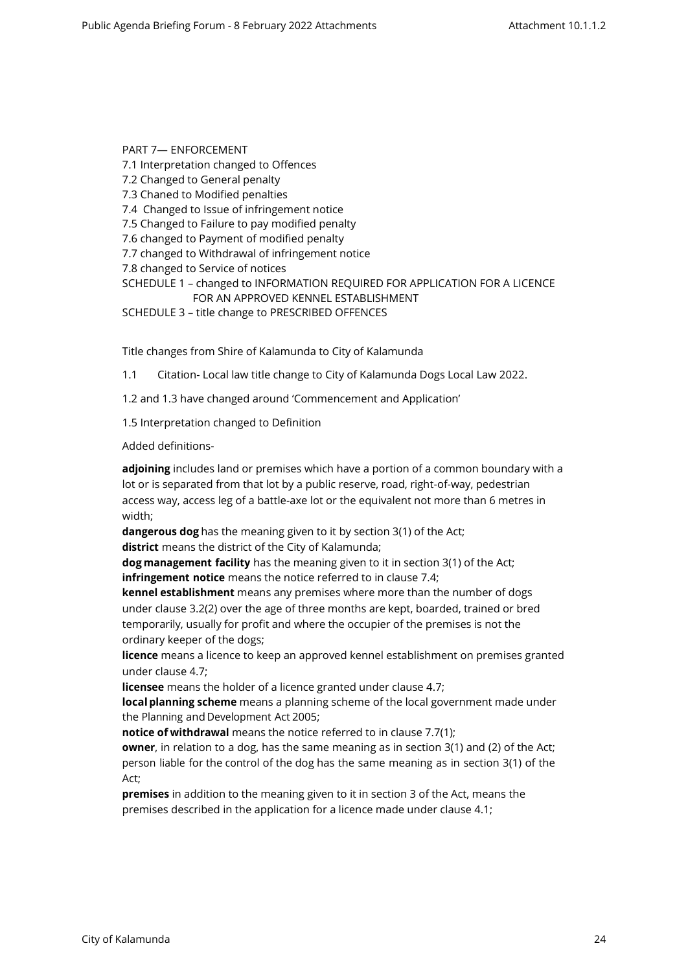PART 7— ENFORCEMENT 7.1 Interpretation changed to Offences 7.2 Changed to General penalty 7.3 Chaned to Modified penalties 7.4 Changed to Issue of infringement notice 7.5 Changed to Failure to pay modified penalty 7.6 changed to Payment of modified penalty 7.7 changed to Withdrawal of infringement notice 7.8 changed to Service of notices SCHEDULE 1 – changed to INFORMATION REQUIRED FOR APPLICATION FOR A LICENCE

FOR AN APPROVED KENNEL ESTABLISHMENT SCHEDULE 3 – title change to PRESCRIBED OFFENCES

Title changes from Shire of Kalamunda to City of Kalamunda

1.1 Citation- Local law title change to City of Kalamunda Dogs Local Law 2022.

1.2 and 1.3 have changed around 'Commencement and Application'

1.5 Interpretation changed to Definition

Added definitions-

**adjoining** includes land or premises which have a portion of a common boundary with a lot or is separated from that lot by a public reserve, road, right-of-way, pedestrian access way, access leg of a battle-axe lot or the equivalent not more than 6 metres in width;

**dangerous dog** has the meaning given to it by section 3(1) of the Act;

**district** means the district of the City of Kalamunda;

**dog management facility** has the meaning given to it in section 3(1) of the Act; **infringement notice** means the notice referred to in clause 7.4;

**kennel establishment** means any premises where more than the number of dogs under clause 3.2(2) over the age of three months are kept, boarded, trained or bred temporarily, usually for profit and where the occupier of the premises is not the ordinary keeper of the dogs;

**licence** means a licence to keep an approved kennel establishment on premises granted under clause 4.7;

**licensee** means the holder of a licence granted under clause 4.7;

**local planning scheme** means a planning scheme of the local government made under the Planning and Development Act 2005;

**notice of withdrawal** means the notice referred to in clause 7.7(1);

**owner**, in relation to a dog, has the same meaning as in section 3(1) and (2) of the Act; person liable for the control of the dog has the same meaning as in section 3(1) of the Act;

**premises** in addition to the meaning given to it in section 3 of the Act, means the premises described in the application for a licence made under clause 4.1;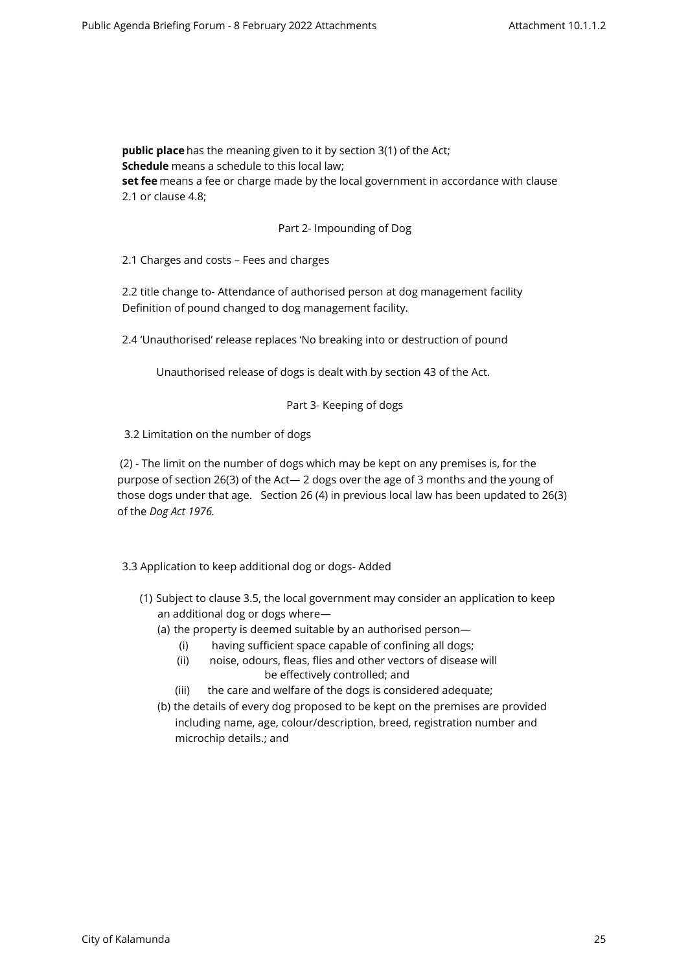**public place** has the meaning given to it by section 3(1) of the Act; **Schedule** means a schedule to this local law; **set fee** means a fee or charge made by the local government in accordance with clause 2.1 or clause 4.8;

## Part 2- Impounding of Dog

2.1 Charges and costs – Fees and charges

2.2 title change to- Attendance of authorised person at dog management facility Definition of pound changed to dog management facility.

2.4 'Unauthorised' release replaces 'No breaking into or destruction of pound

Unauthorised release of dogs is dealt with by section 43 of the Act.

### Part 3- Keeping of dogs

3.2 Limitation on the number of dogs

 (2) - The limit on the number of dogs which may be kept on any premises is, for the purpose of section 26(3) of the Act— 2 dogs over the age of 3 months and the young of those dogs under that age. Section 26 (4) in previous local law has been updated to 26(3) of the *Dog Act 1976.* 

3.3 Application to keep additional dog or dogs- Added

- (1) Subject to clause 3.5, the local government may consider an application to keep an additional dog or dogs where—
	- (a) the property is deemed suitable by an authorised person—
		- (i) having sufficient space capable of confining all dogs;
		- (ii) noise, odours, fleas, flies and other vectors of disease will be effectively controlled; and
		- (iii) the care and welfare of the dogs is considered adequate;
	- (b) the details of every dog proposed to be kept on the premises are provided including name, age, colour/description, breed, registration number and microchip details.; and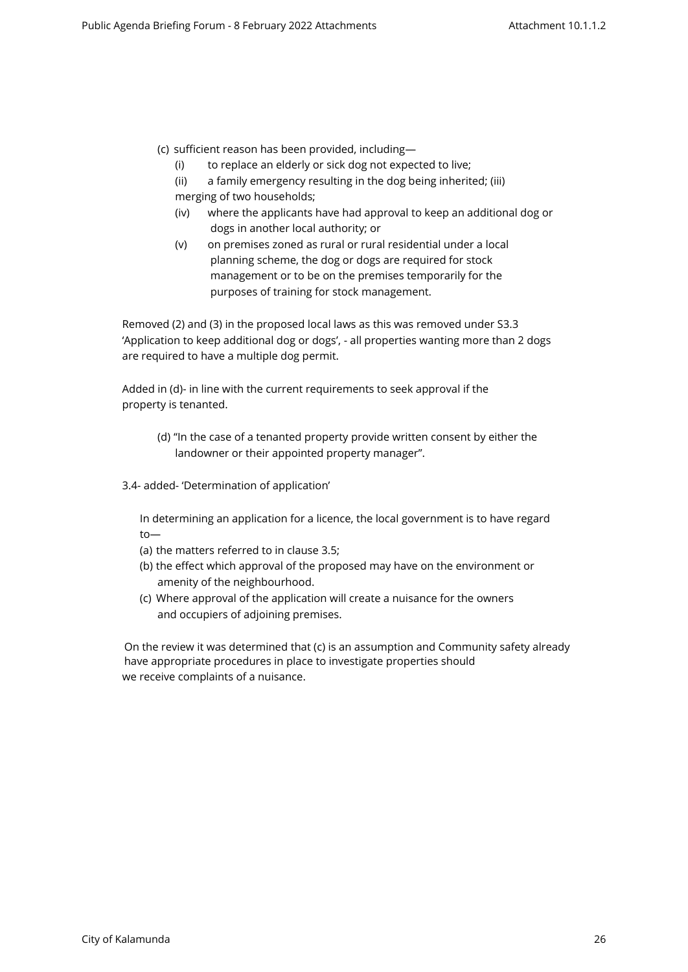- (c) sufficient reason has been provided, including—
	- (i) to replace an elderly or sick dog not expected to live;
	- (ii) a family emergency resulting in the dog being inherited; (iii) merging of two households;
	- (iv) where the applicants have had approval to keep an additional dog or dogs in another local authority; or
	- (v) on premises zoned as rural or rural residential under a local planning scheme, the dog or dogs are required for stock management or to be on the premises temporarily for the purposes of training for stock management.

Removed (2) and (3) in the proposed local laws as this was removed under S3.3 'Application to keep additional dog or dogs', - all properties wanting more than 2 dogs are required to have a multiple dog permit.

Added in (d)- in line with the current requirements to seek approval if the property is tenanted.

- (d) "In the case of a tenanted property provide written consent by either the landowner or their appointed property manager".
- 3.4- added- 'Determination of application'

In determining an application for a licence, the local government is to have regard to—

- (a) the matters referred to in clause 3.5;
- (b) the effect which approval of the proposed may have on the environment or amenity of the neighbourhood.
- (c) Where approval of the application will create a nuisance for the owners and occupiers of adjoining premises.

On the review it was determined that (c) is an assumption and Community safety already have appropriate procedures in place to investigate properties should we receive complaints of a nuisance.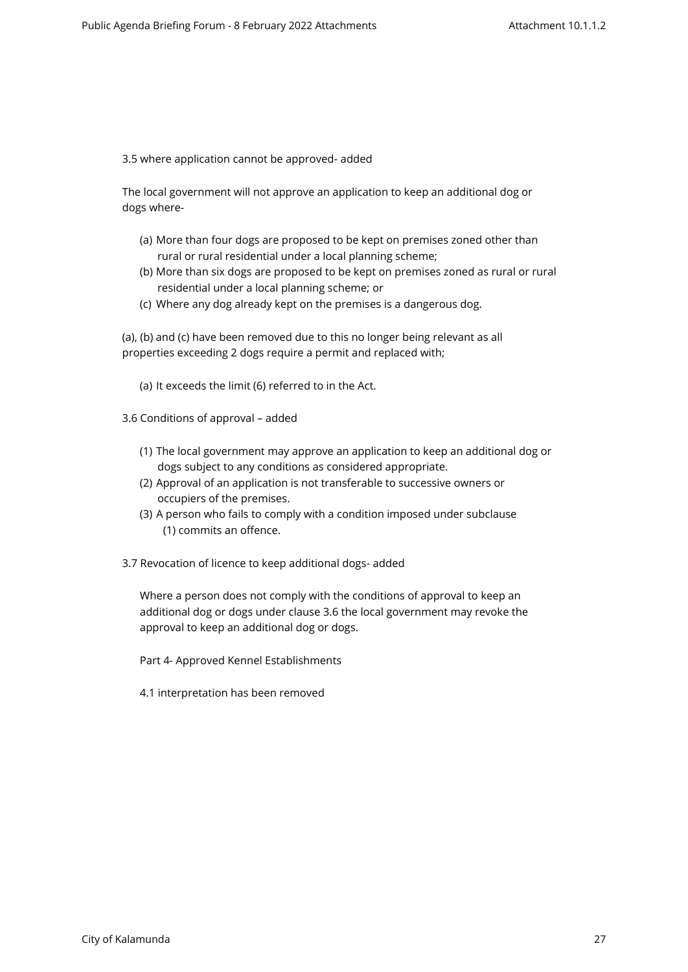3.5 where application cannot be approved- added

The local government will not approve an application to keep an additional dog or dogs where-

- (a) More than four dogs are proposed to be kept on premises zoned other than rural or rural residential under a local planning scheme;
- (b) More than six dogs are proposed to be kept on premises zoned as rural or rural residential under a local planning scheme; or
- (c) Where any dog already kept on the premises is a dangerous dog.

(a), (b) and (c) have been removed due to this no longer being relevant as all properties exceeding 2 dogs require a permit and replaced with;

(a) It exceeds the limit (6) referred to in the Act.

3.6 Conditions of approval – added

- (1) The local government may approve an application to keep an additional dog or dogs subject to any conditions as considered appropriate.
- (2) Approval of an application is not transferable to successive owners or occupiers of the premises.
- (3) A person who fails to comply with a condition imposed under subclause (1) commits an offence.
- 3.7 Revocation of licence to keep additional dogs- added

Where a person does not comply with the conditions of approval to keep an additional dog or dogs under clause 3.6 the local government may revoke the approval to keep an additional dog or dogs.

Part 4- Approved Kennel Establishments

4.1 interpretation has been removed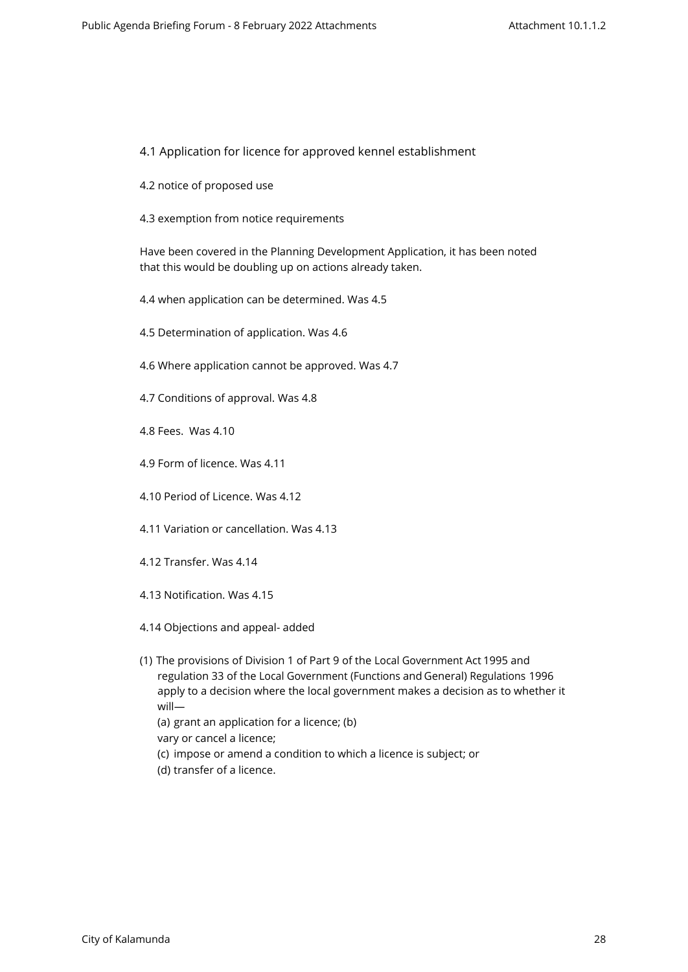## 4.1 Application for licence for approved kennel establishment

- 4.2 notice of proposed use
- 4.3 exemption from notice requirements

Have been covered in the Planning Development Application, it has been noted that this would be doubling up on actions already taken.

- 4.4 when application can be determined. Was 4.5
- 4.5 Determination of application. Was 4.6
- 4.6 Where application cannot be approved. Was 4.7
- 4.7 Conditions of approval. Was 4.8
- 4.8 Fees. Was 4.10
- 4.9 Form of licence. Was 4.11
- 4.10 Period of Licence. Was 4.12
- 4.11 Variation or cancellation. Was 4.13
- 4.12 Transfer. Was 4.14
- 4.13 Notification. Was 4.15
- 4.14 Objections and appeal- added
- (1) The provisions of Division 1 of Part 9 of the Local Government Act 1995 and regulation 33 of the Local Government (Functions and General) Regulations 1996 apply to a decision where the local government makes a decision as to whether it will—
	- (a) grant an application for a licence; (b)
	- vary or cancel a licence;
	- (c) impose or amend a condition to which a licence is subject; or
	- (d) transfer of a licence.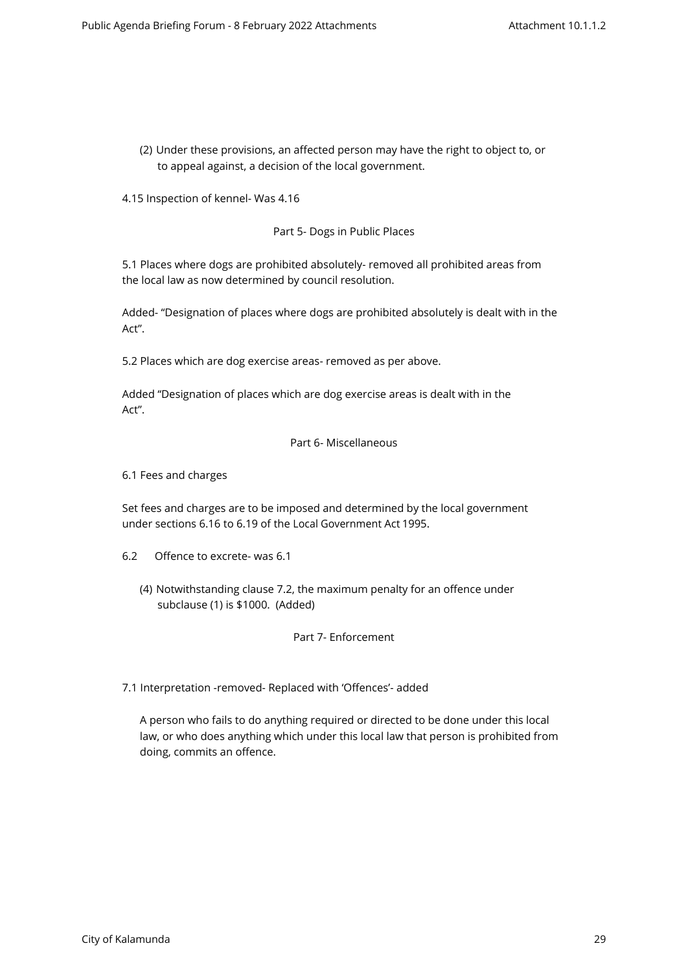(2) Under these provisions, an affected person may have the right to object to, or to appeal against, a decision of the local government.

4.15 Inspection of kennel- Was 4.16

Part 5- Dogs in Public Places

5.1 Places where dogs are prohibited absolutely- removed all prohibited areas from the local law as now determined by council resolution.

Added- "Designation of places where dogs are prohibited absolutely is dealt with in the Act".

5.2 Places which are dog exercise areas- removed as per above.

Added "Designation of places which are dog exercise areas is dealt with in the Act".

#### Part 6- Miscellaneous

6.1 Fees and charges

Set fees and charges are to be imposed and determined by the local government under sections 6.16 to 6.19 of the Local Government Act 1995.

- 6.2 Offence to excrete- was 6.1
	- (4) Notwithstanding clause 7.2, the maximum penalty for an offence under subclause (1) is \$1000. (Added)

## Part 7- Enforcement

7.1 Interpretation -removed- Replaced with 'Offences'- added

A person who fails to do anything required or directed to be done under this local law, or who does anything which under this local law that person is prohibited from doing, commits an offence.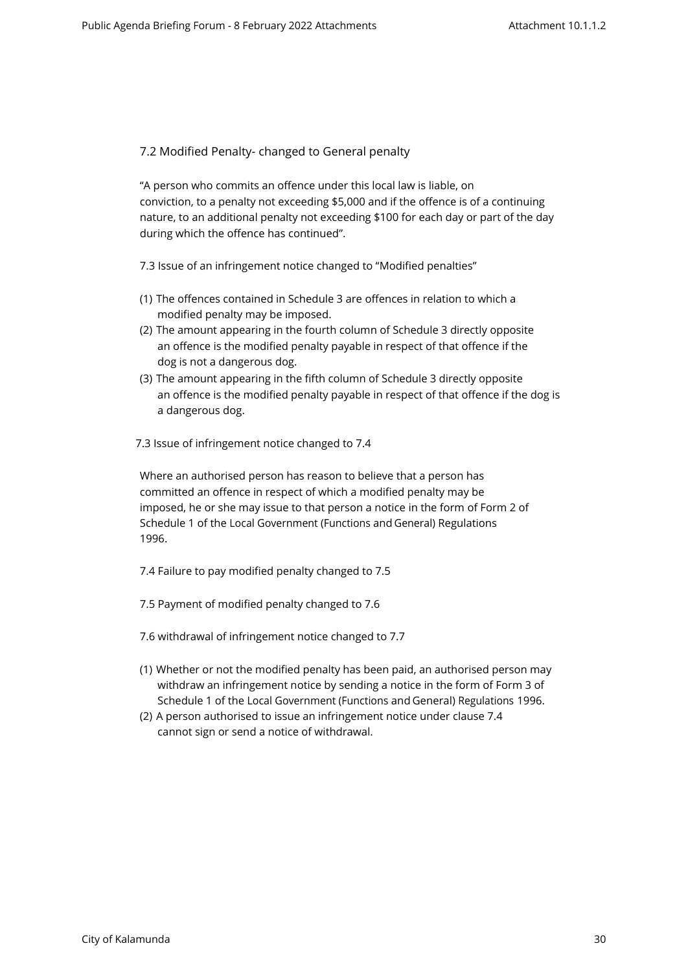7.2 Modified Penalty- changed to General penalty

"A person who commits an offence under this local law is liable, on conviction, to a penalty not exceeding \$5,000 and if the offence is of a continuing nature, to an additional penalty not exceeding \$100 for each day or part of the day during which the offence has continued".

7.3 Issue of an infringement notice changed to "Modified penalties"

- (1) The offences contained in Schedule 3 are offences in relation to which a modified penalty may be imposed.
- (2) The amount appearing in the fourth column of Schedule 3 directly opposite an offence is the modified penalty payable in respect of that offence if the dog is not a dangerous dog.
- (3) The amount appearing in the fifth column of Schedule 3 directly opposite an offence is the modified penalty payable in respect of that offence if the dog is a dangerous dog.
- 7.3 Issue of infringement notice changed to 7.4

Where an authorised person has reason to believe that a person has committed an offence in respect of which a modified penalty may be imposed, he or she may issue to that person a notice in the form of Form 2 of Schedule 1 of the Local Government (Functions and General) Regulations 1996.

7.4 Failure to pay modified penalty changed to 7.5

- 7.5 Payment of modified penalty changed to 7.6
- 7.6 withdrawal of infringement notice changed to 7.7
- (1) Whether or not the modified penalty has been paid, an authorised person may withdraw an infringement notice by sending a notice in the form of Form 3 of Schedule 1 of the Local Government (Functions and General) Regulations 1996.
- (2) A person authorised to issue an infringement notice under clause 7.4 cannot sign or send a notice of withdrawal.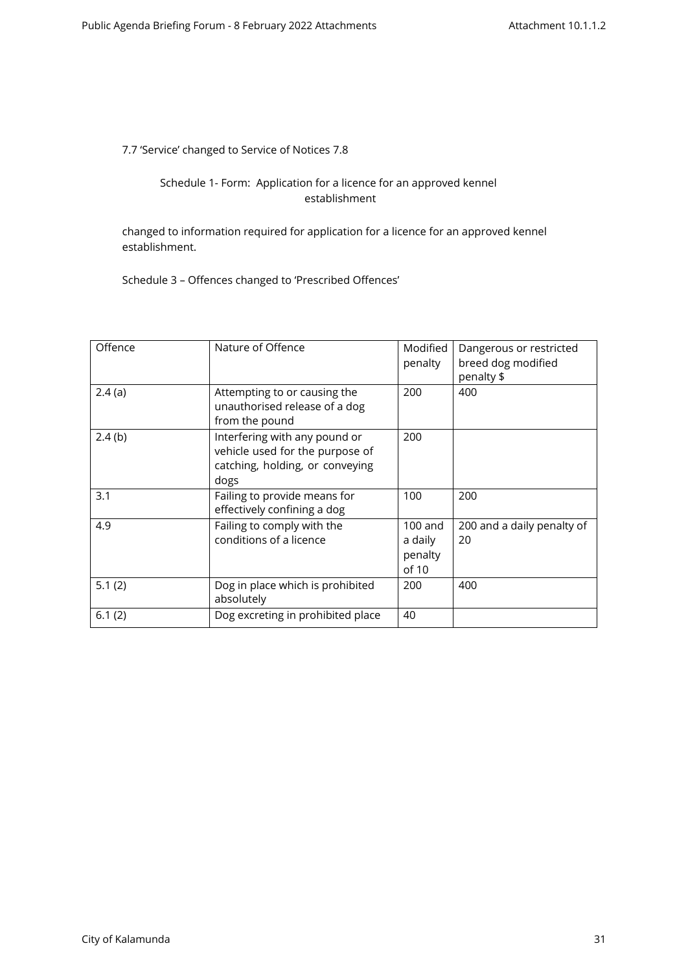7.7 'Service' changed to Service of Notices 7.8

## Schedule 1- Form: Application for a licence for an approved kennel establishment

changed to information required for application for a licence for an approved kennel establishment.

Schedule 3 – Offences changed to 'Prescribed Offences'

| Offence | Nature of Offence                                                                                           | Modified<br>penalty                      | Dangerous or restricted<br>breed dog modified<br>penalty \$ |
|---------|-------------------------------------------------------------------------------------------------------------|------------------------------------------|-------------------------------------------------------------|
| 2.4(a)  | Attempting to or causing the<br>unauthorised release of a dog<br>from the pound                             | 200                                      | 400                                                         |
| 2.4(b)  | Interfering with any pound or<br>vehicle used for the purpose of<br>catching, holding, or conveying<br>dogs | 200                                      |                                                             |
| 3.1     | Failing to provide means for<br>effectively confining a dog                                                 | 100                                      | 200                                                         |
| 4.9     | Failing to comply with the<br>conditions of a licence                                                       | $100$ and<br>a daily<br>penalty<br>of 10 | 200 and a daily penalty of<br>20                            |
| 5.1(2)  | Dog in place which is prohibited<br>absolutely                                                              | 200                                      | 400                                                         |
| 6.1(2)  | Dog excreting in prohibited place                                                                           | 40                                       |                                                             |